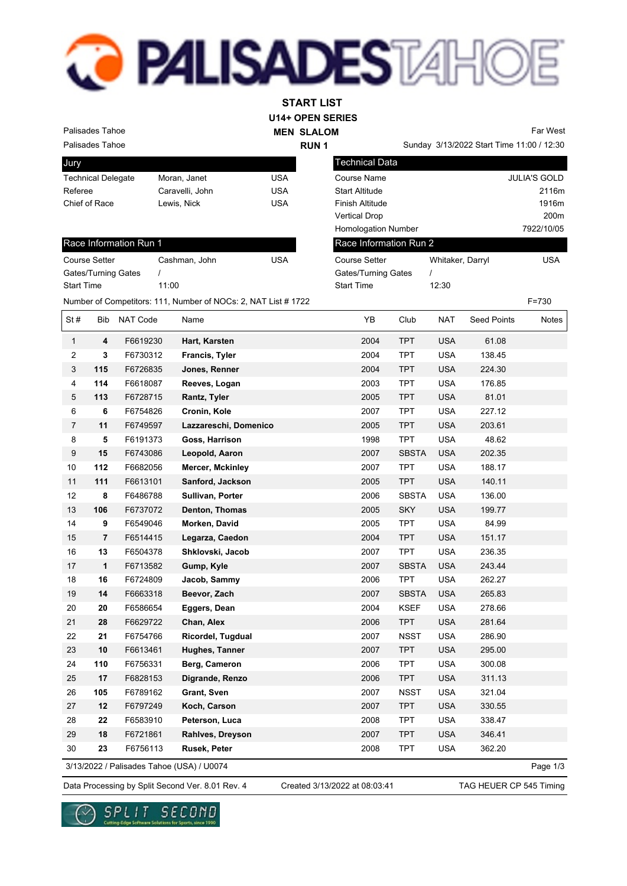## **PALISADESTA**

**U14+ OPEN SERIES START LIST**

Technical Data

Palisades Tahoe

| <b>MEN SLALOM</b> |
|-------------------|
| <b>RUN1</b>       |

Sunday 3/13/2022 Start Time 11:00 / 12:30 Far West

Course Name JULIA'S GOLD Start Altitude 2116m Finish Altitude 1916m

| <b>Palisades Tahoe</b> |  |
|------------------------|--|

| Jury                      |                 |     |
|---------------------------|-----------------|-----|
| <b>Technical Delegate</b> | Moran, Janet    | USA |
| Referee                   | Caravelli, John | USA |
| Chief of Race             | Lewis, Nick     | USA |
|                           |                 |     |

|                        |               |     | <b>Vertical Drop</b>       |                  | 200m       |  |
|------------------------|---------------|-----|----------------------------|------------------|------------|--|
|                        |               |     | <b>Homologation Number</b> |                  | 7922/10/05 |  |
| Race Information Run 1 |               |     | Race Information Run 2     |                  |            |  |
| <b>Course Setter</b>   | Cashman, John | USA | <b>Course Setter</b>       | Whitaker, Darryl | USA        |  |
| Gates/Turning Gates    |               |     | Gates/Turning Gates        |                  |            |  |
| <b>Start Time</b>      | 11:00         |     | <b>Start Time</b>          | 12:30            |            |  |

|                  |                         | <b>Gates/Turning Gates</b><br>$\prime$ |                                                                | <b>Gates/Turning Gates</b> |              | $\prime$   |                    |           |
|------------------|-------------------------|----------------------------------------|----------------------------------------------------------------|----------------------------|--------------|------------|--------------------|-----------|
| Start Time       |                         | 11:00                                  |                                                                | <b>Start Time</b>          |              | 12:30      |                    |           |
|                  |                         |                                        | Number of Competitors: 111, Number of NOCs: 2, NAT List # 1722 |                            |              |            |                    | $F = 730$ |
| St#              | Bib                     | NAT Code                               | Name                                                           | YB                         | Club         | <b>NAT</b> | <b>Seed Points</b> | Notes     |
| $\mathbf{1}$     | 4                       | F6619230                               | Hart, Karsten                                                  | 2004                       | <b>TPT</b>   | <b>USA</b> | 61.08              |           |
| $\overline{2}$   | 3                       | F6730312                               | Francis, Tyler                                                 | 2004                       | <b>TPT</b>   | <b>USA</b> | 138.45             |           |
| 3                | 115                     | F6726835                               | Jones, Renner                                                  | 2004                       | <b>TPT</b>   | <b>USA</b> | 224.30             |           |
| 4                | 114                     | F6618087                               | Reeves, Logan                                                  | 2003                       | <b>TPT</b>   | <b>USA</b> | 176.85             |           |
| 5                | 113                     | F6728715                               | Rantz, Tyler                                                   | 2005                       | <b>TPT</b>   | <b>USA</b> | 81.01              |           |
| 6                | 6                       | F6754826                               | Cronin, Kole                                                   | 2007                       | <b>TPT</b>   | <b>USA</b> | 227.12             |           |
| $\boldsymbol{7}$ | 11                      | F6749597                               | Lazzareschi, Domenico                                          | 2005                       | <b>TPT</b>   | <b>USA</b> | 203.61             |           |
| 8                | 5                       | F6191373                               | Goss, Harrison                                                 | 1998                       | <b>TPT</b>   | <b>USA</b> | 48.62              |           |
| 9                | 15                      | F6743086                               | Leopold, Aaron                                                 | 2007                       | <b>SBSTA</b> | <b>USA</b> | 202.35             |           |
| 10               | 112                     | F6682056                               | <b>Mercer, Mckinley</b>                                        | 2007                       | <b>TPT</b>   | <b>USA</b> | 188.17             |           |
| 11               | 111                     | F6613101                               | Sanford, Jackson                                               | 2005                       | <b>TPT</b>   | <b>USA</b> | 140.11             |           |
| 12               | $\pmb{8}$               | F6486788                               | Sullivan, Porter                                               | 2006                       | <b>SBSTA</b> | <b>USA</b> | 136.00             |           |
| 13               | 106                     | F6737072                               | Denton, Thomas                                                 | 2005                       | <b>SKY</b>   | <b>USA</b> | 199.77             |           |
| 14               | 9                       | F6549046                               | Morken, David                                                  | 2005                       | <b>TPT</b>   | <b>USA</b> | 84.99              |           |
| 15               | $\overline{\mathbf{r}}$ | F6514415                               | Legarza, Caedon                                                | 2004                       | <b>TPT</b>   | <b>USA</b> | 151.17             |           |
| 16               | 13                      | F6504378                               | Shklovski, Jacob                                               | 2007                       | <b>TPT</b>   | <b>USA</b> | 236.35             |           |
| 17               | $\mathbf{1}$            | F6713582                               | Gump, Kyle                                                     | 2007                       | <b>SBSTA</b> | <b>USA</b> | 243.44             |           |
| 18               | 16                      | F6724809                               | Jacob, Sammy                                                   | 2006                       | <b>TPT</b>   | <b>USA</b> | 262.27             |           |
| 19               | 14                      | F6663318                               | Beevor, Zach                                                   | 2007                       | <b>SBSTA</b> | <b>USA</b> | 265.83             |           |
| 20               | 20                      | F6586654                               | Eggers, Dean                                                   | 2004                       | <b>KSEF</b>  | <b>USA</b> | 278.66             |           |
| 21               | 28                      | F6629722                               | Chan, Alex                                                     | 2006                       | <b>TPT</b>   | <b>USA</b> | 281.64             |           |
| 22               | 21                      | F6754766                               | Ricordel, Tugdual                                              | 2007                       | <b>NSST</b>  | <b>USA</b> | 286.90             |           |
| 23               | 10                      | F6613461                               | Hughes, Tanner                                                 | 2007                       | <b>TPT</b>   | <b>USA</b> | 295.00             |           |
| 24               | 110                     | F6756331                               | Berg, Cameron                                                  | 2006                       | <b>TPT</b>   | <b>USA</b> | 300.08             |           |
| 25               | 17                      | F6828153                               | Digrande, Renzo                                                | 2006                       | <b>TPT</b>   | <b>USA</b> | 311.13             |           |
| 26               | 105                     | F6789162                               | Grant, Sven                                                    | 2007                       | <b>NSST</b>  | <b>USA</b> | 321.04             |           |
| 27               | 12                      | F6797249                               | Koch, Carson                                                   | 2007                       | <b>TPT</b>   | <b>USA</b> | 330.55             |           |
| 28               | 22                      | F6583910                               | Peterson, Luca                                                 | 2008                       | <b>TPT</b>   | <b>USA</b> | 338.47             |           |
| 29               | 18                      | F6721861                               | Rahlves, Dreyson                                               | 2007                       | <b>TPT</b>   | <b>USA</b> | 346.41             |           |
| 30               | 23                      | F6756113                               | Rusek, Peter                                                   | 2008                       | <b>TPT</b>   | <b>USA</b> | 362.20             |           |

3/13/2022 / Palisades Tahoe (USA) / U0074

Page 1/3

Data Processing by Split Second Ver. 8.01 Rev. 4 Created 3/13/2022 at 08:03:41 TAG HEUER CP 545 Timing

Created 3/13/2022 at 08:03:41



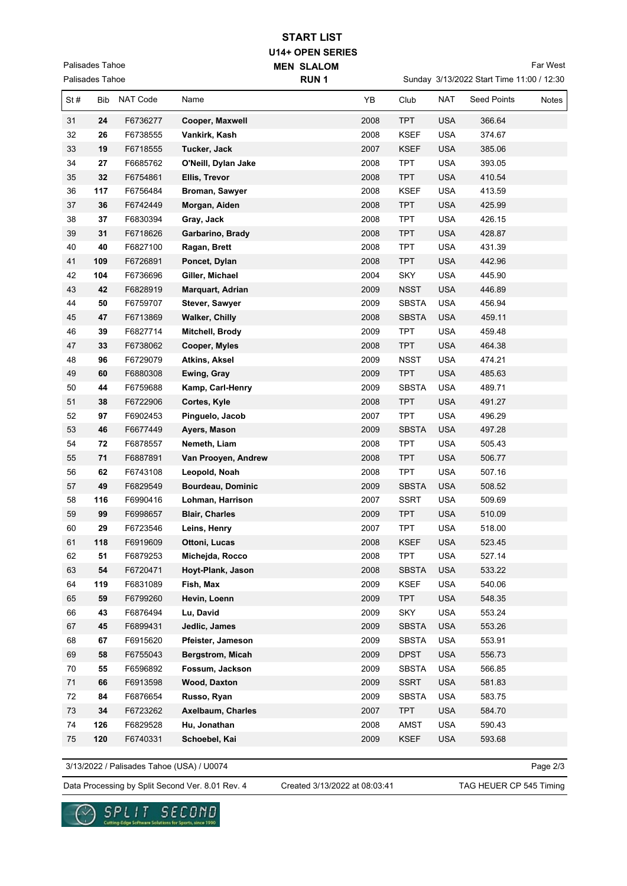## **U14+ OPEN SERIES MEN SLALOM START LIST**

Palisades Tahoe Palisades Tahoe Far West

|      | Palisades Tahoe |          |                       | RUN <sub>1</sub> |      |              | Sunday 3/13/2022 Start Time 11:00 / 12:30 |                    |       |  |
|------|-----------------|----------|-----------------------|------------------|------|--------------|-------------------------------------------|--------------------|-------|--|
| St#  | <b>Bib</b>      | NAT Code | Name                  |                  | YB   | Club         | <b>NAT</b>                                | <b>Seed Points</b> | Notes |  |
| 31   | 24              | F6736277 | Cooper, Maxwell       |                  | 2008 | <b>TPT</b>   | <b>USA</b>                                | 366.64             |       |  |
| 32   | 26              | F6738555 | Vankirk, Kash         |                  | 2008 | <b>KSEF</b>  | <b>USA</b>                                | 374.67             |       |  |
| 33   | 19              | F6718555 | Tucker, Jack          |                  | 2007 | <b>KSEF</b>  | <b>USA</b>                                | 385.06             |       |  |
| 34   | 27              | F6685762 | O'Neill, Dylan Jake   |                  | 2008 | <b>TPT</b>   | <b>USA</b>                                | 393.05             |       |  |
| 35   | 32              | F6754861 | Ellis, Trevor         |                  | 2008 | <b>TPT</b>   | <b>USA</b>                                | 410.54             |       |  |
| 36   | 117             | F6756484 | Broman, Sawyer        |                  | 2008 | <b>KSEF</b>  | <b>USA</b>                                | 413.59             |       |  |
| 37   | 36              | F6742449 | Morgan, Aiden         |                  | 2008 | <b>TPT</b>   | <b>USA</b>                                | 425.99             |       |  |
| 38   | 37              | F6830394 | Gray, Jack            |                  | 2008 | <b>TPT</b>   | <b>USA</b>                                | 426.15             |       |  |
| 39   | 31              | F6718626 | Garbarino, Brady      |                  | 2008 | <b>TPT</b>   | <b>USA</b>                                | 428.87             |       |  |
| 40   | 40              | F6827100 | Ragan, Brett          |                  | 2008 | <b>TPT</b>   | <b>USA</b>                                | 431.39             |       |  |
| 41   | 109             | F6726891 | Poncet, Dylan         |                  | 2008 | <b>TPT</b>   | <b>USA</b>                                | 442.96             |       |  |
| 42   | 104             | F6736696 | Giller, Michael       |                  | 2004 | <b>SKY</b>   | USA                                       | 445.90             |       |  |
| 43   | 42              | F6828919 | Marquart, Adrian      |                  | 2009 | <b>NSST</b>  | <b>USA</b>                                | 446.89             |       |  |
| 44   | 50              | F6759707 | Stever, Sawyer        |                  | 2009 | <b>SBSTA</b> | <b>USA</b>                                | 456.94             |       |  |
| 45   | 47              | F6713869 | <b>Walker, Chilly</b> |                  | 2008 | <b>SBSTA</b> | <b>USA</b>                                | 459.11             |       |  |
| 46   | 39              | F6827714 | Mitchell, Brody       |                  | 2009 | <b>TPT</b>   | <b>USA</b>                                | 459.48             |       |  |
| 47   | 33              | F6738062 | Cooper, Myles         |                  | 2008 | <b>TPT</b>   | <b>USA</b>                                | 464.38             |       |  |
| 48   | 96              | F6729079 | Atkins, Aksel         |                  | 2009 | <b>NSST</b>  | <b>USA</b>                                | 474.21             |       |  |
| 49   | 60              | F6880308 | Ewing, Gray           |                  | 2009 | <b>TPT</b>   | <b>USA</b>                                | 485.63             |       |  |
| 50   | 44              | F6759688 | Kamp, Carl-Henry      |                  | 2009 | <b>SBSTA</b> | <b>USA</b>                                | 489.71             |       |  |
| 51   | 38              | F6722906 | Cortes, Kyle          |                  | 2008 | <b>TPT</b>   | <b>USA</b>                                | 491.27             |       |  |
| 52   | 97              | F6902453 | Pinguelo, Jacob       |                  | 2007 | <b>TPT</b>   | <b>USA</b>                                | 496.29             |       |  |
| 53   | 46              | F6677449 | Ayers, Mason          |                  | 2009 | <b>SBSTA</b> | <b>USA</b>                                | 497.28             |       |  |
| 54   | 72              | F6878557 | Nemeth, Liam          |                  | 2008 | <b>TPT</b>   | <b>USA</b>                                | 505.43             |       |  |
| 55   | 71              | F6887891 | Van Prooyen, Andrew   |                  | 2008 | <b>TPT</b>   | <b>USA</b>                                | 506.77             |       |  |
| 56   | 62              | F6743108 | Leopold, Noah         |                  | 2008 | <b>TPT</b>   | USA                                       | 507.16             |       |  |
| 57   | 49              | F6829549 | Bourdeau, Dominic     |                  | 2009 | <b>SBSTA</b> | <b>USA</b>                                | 508.52             |       |  |
| 58   | 116             | F6990416 | Lohman, Harrison      |                  | 2007 | <b>SSRT</b>  | <b>USA</b>                                | 509.69             |       |  |
| 59   | 99              | F6998657 | <b>Blair, Charles</b> |                  | 2009 | <b>TPT</b>   | <b>USA</b>                                | 510.09             |       |  |
| 60   | 29              | F6723546 | Leins, Henry          |                  | 2007 | <b>TPT</b>   | <b>USA</b>                                | 518.00             |       |  |
| 61   | 118             | F6919609 | Ottoni, Lucas         |                  | 2008 | <b>KSEF</b>  | USA                                       | 523.45             |       |  |
| 62   | 51              | F6879253 | Micheida, Rocco       |                  | 2008 | <b>TPT</b>   | <b>USA</b>                                | 527.14             |       |  |
| 63   | 54              | F6720471 | Hoyt-Plank, Jason     |                  | 2008 | <b>SBSTA</b> | <b>USA</b>                                | 533.22             |       |  |
| 64   | 119             | F6831089 | Fish, Max             |                  | 2009 | <b>KSEF</b>  | USA                                       | 540.06             |       |  |
| 65   | 59              | F6799260 | Hevin, Loenn          |                  | 2009 | <b>TPT</b>   | <b>USA</b>                                | 548.35             |       |  |
| 66   | 43              | F6876494 | Lu, David             |                  | 2009 | <b>SKY</b>   | USA                                       | 553.24             |       |  |
| 67   | 45              | F6899431 | Jedlic, James         |                  | 2009 | <b>SBSTA</b> | <b>USA</b>                                | 553.26             |       |  |
| 68   | 67              | F6915620 | Pfeister, Jameson     |                  | 2009 | <b>SBSTA</b> | <b>USA</b>                                | 553.91             |       |  |
| 69   | 58              | F6755043 | Bergstrom, Micah      |                  | 2009 | <b>DPST</b>  | <b>USA</b>                                | 556.73             |       |  |
| 70   | 55              | F6596892 | Fossum, Jackson       |                  | 2009 | <b>SBSTA</b> | USA                                       | 566.85             |       |  |
| $71$ | 66              | F6913598 | <b>Wood, Daxton</b>   |                  | 2009 | SSRT         | <b>USA</b>                                | 581.83             |       |  |
| 72   | 84              | F6876654 | Russo, Ryan           |                  | 2009 | <b>SBSTA</b> | USA                                       | 583.75             |       |  |
| 73   | 34              | F6723262 | Axelbaum, Charles     |                  | 2007 | <b>TPT</b>   | <b>USA</b>                                | 584.70             |       |  |
| 74   | 126             | F6829528 | Hu, Jonathan          |                  | 2008 | AMST         | USA                                       | 590.43             |       |  |
| 75   | 120             | F6740331 | Schoebel, Kai         |                  | 2009 | <b>KSEF</b>  | <b>USA</b>                                | 593.68             |       |  |

3/13/2022 / Palisades Tahoe (USA) / U0074

Page 2/3

Data Processing by Split Second Ver. 8.01 Rev. 4 Created 3/13/2022 at 08:03:41 TAG HEUER CP 545 Timing

Created 3/13/2022 at 08:03:41